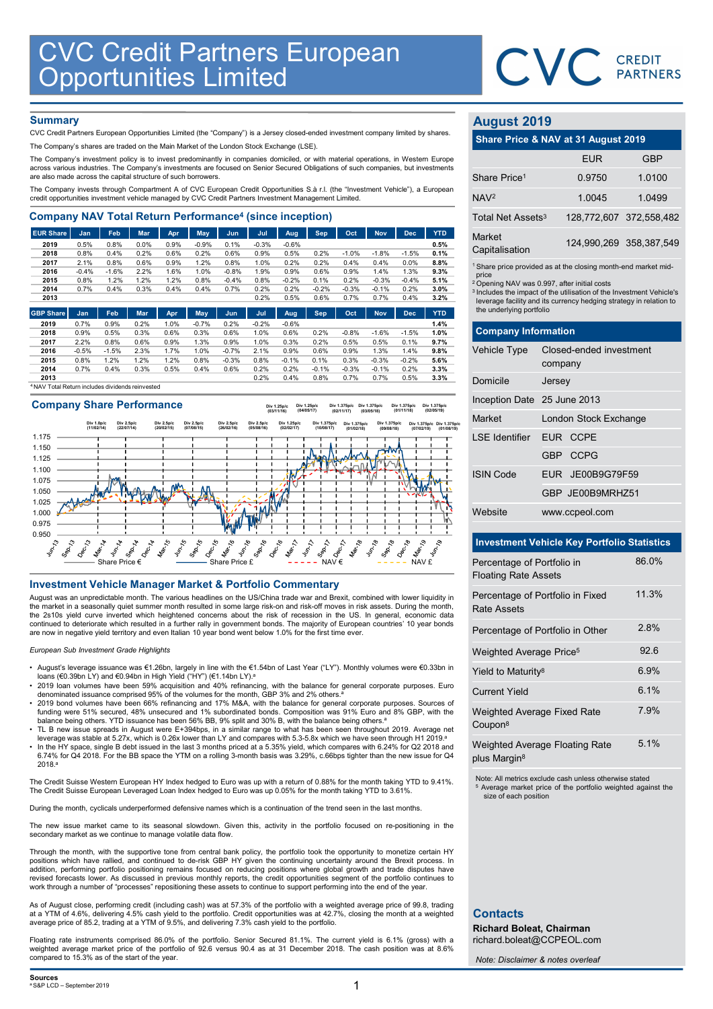

# **Summary**

| <b>CVC Credit Partners European<br/>Opportunities Limited</b>                                                                                                                                      |                 |                 |              |              |              |                    |                 |                 |              |                 |                 |                 |              |                               |                                                                               |            |
|----------------------------------------------------------------------------------------------------------------------------------------------------------------------------------------------------|-----------------|-----------------|--------------|--------------|--------------|--------------------|-----------------|-----------------|--------------|-----------------|-----------------|-----------------|--------------|-------------------------------|-------------------------------------------------------------------------------|------------|
|                                                                                                                                                                                                    |                 |                 |              |              |              |                    |                 |                 |              |                 |                 |                 |              |                               | CVC CREDIT                                                                    |            |
|                                                                                                                                                                                                    |                 |                 |              |              |              |                    |                 |                 |              |                 |                 |                 |              |                               |                                                                               |            |
|                                                                                                                                                                                                    |                 |                 |              |              |              |                    |                 |                 |              |                 |                 |                 |              |                               |                                                                               |            |
| <b>Summary</b>                                                                                                                                                                                     |                 |                 |              |              |              |                    |                 |                 |              |                 |                 |                 |              | <b>August 2019</b>            |                                                                               |            |
| CVC Credit Partners European Opportunities Limited (the "Company") is a Jersey closed-ended investment company limited by shares.                                                                  |                 |                 |              |              |              |                    |                 |                 |              |                 |                 |                 |              |                               |                                                                               |            |
| The Company's shares are traded on the Main Market of the London Stock Exchange (LSE).                                                                                                             |                 |                 |              |              |              |                    |                 |                 |              |                 |                 |                 |              |                               | Share Price & NAV at 31 August 2019                                           |            |
| The Company's investment policy is to invest predominantly in companies domiciled, or with material operations, in Western Europe                                                                  |                 |                 |              |              |              |                    |                 |                 |              |                 |                 |                 |              |                               | <b>EUR</b>                                                                    | <b>GBP</b> |
| across various industries. The Company's investments are focused on Senior Secured Obligations of such companies, but investments<br>are also made across the capital structure of such borrowers. |                 |                 |              |              |              |                    |                 |                 |              |                 |                 |                 |              | Share Price <sup>1</sup>      | 0.9750                                                                        | 1.0100     |
| The Company invests through Compartment A of CVC European Credit Opportunities S.à r.l. (the "Investment Vehicle"), a European                                                                     |                 |                 |              |              |              |                    |                 |                 |              |                 |                 |                 |              |                               |                                                                               |            |
| credit opportunities investment vehicle managed by CVC Credit Partners Investment Management Limited.                                                                                              |                 |                 |              |              |              |                    |                 |                 |              |                 |                 |                 |              | NAV <sup>2</sup>              | 1.0045                                                                        | 1.0499     |
| <b>Company NAV Total Return Performance<sup>4</sup> (since inception)</b>                                                                                                                          |                 |                 |              |              |              |                    |                 |                 |              |                 |                 |                 |              | Total Net Assets <sup>3</sup> | 128,772,607 372,558,48                                                        |            |
| <b>EUR Share</b>                                                                                                                                                                                   | Jan             | Feb             | Mar          | Apr          | May          | Jun                | Jul             | Aug             | <b>Sep</b>   | Oct             | <b>Nov</b>      | <b>Dec</b>      | <b>YTD</b>   | Market                        |                                                                               |            |
| 2019                                                                                                                                                                                               | 0.5%            | 0.8%<br>0.4%    | 0.0%         | 0.9%         | $-0.9%$      | 0.1%               | $-0.3%$<br>0.9% | $-0.6%$         |              |                 |                 |                 | 0.5%         | Capitalisation                | 124,990,269 358,387,54                                                        |            |
| 2018<br>2017                                                                                                                                                                                       | 0.8%<br>2.1%    | 0.8%            | 0.2%<br>0.6% | 0.6%<br>0.9% | 0.2%<br>1.2% | 0.6%<br>0.8%       | 1.0%            | 0.5%<br>0.2%    | 0.2%<br>0.2% | $-1.0%$<br>0.4% | $-1.8%$<br>0.4% | $-1.5%$<br>0.0% | 0.1%<br>8.8% |                               |                                                                               |            |
| 2016                                                                                                                                                                                               | $-0.4%$         | $-1.6%$         | 2.2%         | 1.6%         | 1.0%         | $-0.8%$            | 1.9%            | 0.9%            | 0.6%         | 0.9%            | 1.4%            | 1.3%            | 9.3%         | price                         | <sup>1</sup> Share price provided as at the closing month-end market mid      |            |
| 2015                                                                                                                                                                                               | 0.8%            | 1.2%            | 1.2%         | 1.2%         | 0.8%         | $-0.4%$            | 0.8%            | $-0.2%$         | 0.1%         | 0.2%            | $-0.3%$         | $-0.4%$         | 5.1%         |                               | <sup>2</sup> Opening NAV was 0.997, after initial costs                       |            |
| 2014                                                                                                                                                                                               | 0.7%            | 0.4%            | 0.3%         | 0.4%         | 0.4%         | 0.7%               | 0.2%            | 0.2%            | $-0.2%$      | $-0.3%$         | $-0.1%$         | 0.2%            | 3.0%         |                               | <sup>3</sup> Includes the impact of the utilisation of the Investment Vehicle |            |
| 2013                                                                                                                                                                                               |                 |                 |              |              |              |                    | 0.2%            | 0.5%            | 0.6%         | 0.7%            | 0.7%            | 0.4%            | 3.2%         |                               | leverage facility and its currency hedging strategy in relation t             |            |
| <b>GBP Share</b>                                                                                                                                                                                   | Jan             | Feb             | <b>Mar</b>   | Apr          | May          | Jun.               | Jul             | Aug             | <b>Sep</b>   | Oct             | <b>Nov</b>      | <b>Dec</b>      | <b>YTD</b>   | the underlying portfolio      |                                                                               |            |
| 2019                                                                                                                                                                                               | 0.7%            | 0.9%            | 0.2%         | 1.0%         | $-0.7%$      | 0.2%               | $-0.2%$         | $-0.6%$         |              |                 |                 |                 | 1.4%         |                               |                                                                               |            |
| 2018                                                                                                                                                                                               | 0.9%            | 0.5%            | 0.3%         | 0.6%         | 0.3%         | 0.6%               | 1.0%            | 0.6%            | 0.2%         | $-0.8%$         | $-1.6%$         | $-1.5%$         | 1.0%         | <b>Company Information</b>    |                                                                               |            |
| 2017                                                                                                                                                                                               | 2.2%            | 0.8%            | 0.6%         | 0.9%         | 1.3%         | 0.9%               | 1.0%            | 0.3%            | 0.2%         | 0.5%            | 0.5%            | 0.1%            | 9.7%         | <b>Vehicle Type</b>           | Closed-ended investment                                                       |            |
| 2016<br>2015                                                                                                                                                                                       | $-0.5%$<br>0.8% | $-1.5%$<br>1.2% | 2.3%<br>1.2% | 1.7%<br>1.2% | 1.0%<br>0.8% | $-0.7%$<br>$-0.3%$ | 2.1%<br>0.8%    | 0.9%<br>$-0.1%$ | 0.6%<br>0.1% | 0.9%<br>0.3%    | 1.3%<br>$-0.3%$ | 1.4%<br>$-0.2%$ | 9.8%<br>5.6% |                               |                                                                               |            |
| 2014                                                                                                                                                                                               | 0.7%            | 0.4%            | 0.3%         | 0.5%         | 0.4%         | 0.6%               | 0.2%            | 0.2%            | $-0.1%$      | $-0.3%$         | $-0.1%$         | 0.2%            | 3.3%         |                               | company                                                                       |            |
| 2013                                                                                                                                                                                               |                 |                 |              |              |              |                    | 0.2%            | 0.4%            | 0.8%         | 0.7%            | 0.7%            | 0.5%            | 3.3%         | Domicile                      | larcay                                                                        |            |

<sup>4</sup>NAV Total Return includes dividends reinvested

# Company Share Performance INVESTIGATION THE USE CONFERENCE INTERNATION CONFERENCE INTO A CONFERENCE INTO A CONFERENCE INTERNATION CONFERENCE INTO A CONFERENCE INTERNATION CONFERENCE INTO A CONFERENCE INTO A CONFERENCE INTERNATION CONFERENCE INTO 0.950 0.975 1.000 1.025 1.050 1.075 1.100 1.125 1.150 1.175 Share Price  $\epsilon$   $\qquad \qquad$  Share Price £  $\qquad \qquad$   $\qquad$   $\qquad$   $\qquad$   $\qquad$   $\qquad$   $\qquad$   $\qquad$   $\qquad$   $\qquad$   $\qquad$   $\qquad$   $\qquad$   $\qquad$   $\qquad$   $\qquad$   $\qquad$   $\qquad$   $\qquad$   $\qquad$   $\qquad$   $\qquad$   $\qquad$   $\qquad$   $\qquad$   $\qquad$   $\qquad$   $\qquad$   $\qquad$   $\qquad$ Div 1.0p/c (11/02/14) Div 2.5p/c (22/07/14) Div 2.5p/c (20/02/15) Div 2.5p/c (07/08/15) Div 2.5p/c (26/02/16) Div 2.5p/c (05/08/16) Div 1.25p/c (03/11/16) Div 1.25p/c (02/02/17) Div 1.25p/c (04/05/17) Div 1.375p/c (10/08/17) Div 1.375p/c (02/11/17) Div 1.375p/c (01/02/18) Div 1.375p/c (03/05/18) Div 1.375p/c (09/08/18) Div 1.375p/c (01/11/18) Div 1.375p/c (07/02/19) Div 1.375p/c (02/05/19) Div 1.375p/c (01/08/19)

August was an unpredictable month. The various headlines on the US/China trade war and Brexit, combined with lower liquidity in the market in a seasonally quiet summer month resulted in some large risk-on and risk-off moves in risk assets. During the month, the 2s10s yield curve inverted which heightened concerns about the risk of recession in the US. In general, economic data continued to deteriorate which resulted in a further rally in government bonds. The majority of European countries' 10 year bonds<br>are now in negative yield territory and even Italian 10 year bond went below 1.0% for the fi

## European Sub Investment Grade Highlights

- + August's leverage issuance was €1.26bn, largely in line with the €1.54bn of Last Year ("LY"). Monthly volumes were €0.33bn in<br>loans (€0.39bn LY) and €0.94bn in High Yield ("HY") (€1.14bn LY).ª
- 2019 loan volumes have been 59% acquisition and 40% refinancing, with the balance for general corporate purposes. Euro denominated issuance comprised 95% of the volumes for the month, GBP 3% and 2% others.
- 2019 bond volumes have been 66% refinancing and 17% M&A, with the balance for general corporate purposes. Sources of funding were 51% secured, 48% unsecured and 1% subordinated bonds. Composition was 91% Euro and 8% GBP, with the balance being others. YTD issuance has been 56% BB, 9% split and 30% B, with the balance being others.<sup>a</sup>
- TL B new issue spreads in August were E+394bps, in a similar range to what has been seen throughout 2019. Average net<br>I leverage was stable at 5.27x, which is 0.26x lower than LY and compares with 5.3-5.8x which we have se
- In the HY space, single B debt issued in the last 3 months priced at a 5.35% yield, which compares with 6.24% for Q2 2018 and 6.74% for Q4 2018. For the BB space the YTM on a rolling 3-month basis was 3.29%, c.66bps tighter than the new issue for Q4 2018.<sup>a</sup>

The Credit Suisse Western European HY Index hedged to Euro was up with a return of 0.88% for the month taking YTD to 9.41%. The Credit Suisse European Leveraged Loan Index hedged to Euro was up 0.05% for the month taking YTD to 3.61%.

During the month, cyclicals underperformed defensive names which is a continuation of the trend seen in the last months.

The new issue market came to its seasonal slowdown. Given this, activity in the portfolio focused on re-positioning in the secondary market as we continue to manage volatile data flow.

Through the month, with the supportive tone from central bank policy, the portfolio took the opportunity to monetize certain HY positions which have rallied, and continued to de-risk GBP HY given the continuing uncertainty around the Brexit process. In addition, performing portfolio positioning remains focused on reducing positions where global growth and trade disputes have revised forecasts lower. As discussed in previous monthly reports, the credit opportunities segment of the portfolio continues to<br>work through a number of "processes" repositioning these assets to continue to support perfo

As of August close, performing credit (including cash) was at 57.3% of the portfolio with a weighted average price of 99.8, trading at a YTM of 4.6%, delivering 4.5% cash yield to the portfolio. Credit opportunities was at 42.7%, closing the month at a weighted average price of 85.2, trading at a YTM of 9.5%, and delivering 7.3% cash yield to the portfolio.

Floating rate instruments comprised 86.0% of the portfolio. Senior Secured 81.1%. The current yield is 6.1% (gross) with a weighted average market price of the portfolio of 92.6 versus 90.4 as at 31 December 2018. The cash position was at 8.6% compared to 15.3% as of the start of the year.

# August 2019

|                                                                                                                                               | CVC CREDIT |                         |
|-----------------------------------------------------------------------------------------------------------------------------------------------|------------|-------------------------|
|                                                                                                                                               |            |                         |
| <b>August 2019</b>                                                                                                                            |            |                         |
| Share Price & NAV at 31 August 2019                                                                                                           |            |                         |
|                                                                                                                                               | <b>EUR</b> | <b>GBP</b>              |
| Share Price <sup>1</sup>                                                                                                                      | 0.9750     | 1.0100                  |
| NAV <sup>2</sup>                                                                                                                              | 1.0045     | 1.0499                  |
| Total Net Assets <sup>3</sup>                                                                                                                 |            | 128,772,607 372,558,482 |
| Market<br>Capitalisation                                                                                                                      |            | 124,990,269 358,387,549 |
| <sup>1</sup> Share price provided as at the closing month-end market mid-<br>price<br><sup>2</sup> Opening NAV was 0.997, after initial costs |            |                         |

|                                                                                                                            |                                     | CVC CREDIT                                                                                                                                                                                                                         |
|----------------------------------------------------------------------------------------------------------------------------|-------------------------------------|------------------------------------------------------------------------------------------------------------------------------------------------------------------------------------------------------------------------------------|
| <b>August 2019</b>                                                                                                         |                                     |                                                                                                                                                                                                                                    |
|                                                                                                                            | Share Price & NAV at 31 August 2019 |                                                                                                                                                                                                                                    |
|                                                                                                                            | <b>EUR</b>                          | <b>GBP</b>                                                                                                                                                                                                                         |
| Share Price <sup>1</sup>                                                                                                   | 0.9750                              | 1.0100                                                                                                                                                                                                                             |
| NAV <sup>2</sup>                                                                                                           | 1.0045                              | 1.0499                                                                                                                                                                                                                             |
| Total Net Assets <sup>3</sup>                                                                                              |                                     | 128,772,607 372,558,482                                                                                                                                                                                                            |
| Market<br>Capitalisation                                                                                                   |                                     | 124,990,269 358,387,549                                                                                                                                                                                                            |
| price<br><sup>2</sup> Opening NAV was 0.997, after initial costs<br>the underlying portfolio<br><b>Company Information</b> |                                     | <sup>1</sup> Share price provided as at the closing month-end market mid-<br><sup>3</sup> Includes the impact of the utilisation of the Investment Vehicle's<br>leverage facility and its currency hedging strategy in relation to |
| Vehicle Type                                                                                                               | Closed-ended investment<br>company  |                                                                                                                                                                                                                                    |
| Domicile                                                                                                                   | Jersey                              |                                                                                                                                                                                                                                    |
| Inception Date 25 June 2013                                                                                                |                                     |                                                                                                                                                                                                                                    |
| Market                                                                                                                     | London Stock Exchange               |                                                                                                                                                                                                                                    |
| <b>LSE</b> Identifier                                                                                                      | EUR CCPE                            |                                                                                                                                                                                                                                    |
|                                                                                                                            | GBP CCPG                            |                                                                                                                                                                                                                                    |
| <b>ISIN Code</b>                                                                                                           | EUR JE00B9G79F59                    |                                                                                                                                                                                                                                    |
|                                                                                                                            | GBP JE00B9MRHZ51                    |                                                                                                                                                                                                                                    |
| Website                                                                                                                    | www.ccpeol.com                      |                                                                                                                                                                                                                                    |
|                                                                                                                            |                                     | <b>Investment Vehicle Key Portfolio Statistics</b>                                                                                                                                                                                 |

# Investment Vehicle Key Portfolio Statistics

| Percentage of Portfolio in<br><b>Floating Rate Assets</b>  | 86.0% |
|------------------------------------------------------------|-------|
| Percentage of Portfolio in Fixed<br>Rate Assets            | 11.3% |
| Percentage of Portfolio in Other                           | 2.8%  |
| Weighted Average Price <sup>5</sup>                        | 92.6  |
| Yield to Maturity <sup>8</sup>                             | 6.9%  |
| <b>Current Yield</b>                                       | 6.1%  |
| Weighted Average Fixed Rate<br>Coupon <sup>8</sup>         | 7.9%  |
| Weighted Average Floating Rate<br>plus Margin <sup>8</sup> | 5.1%  |

Note: All metrics exclude cash unless otherwise stated Average market price of the portfolio weighted against the size of each position

# **Contacts**

Richard Boleat, Chairman richard.boleat@CCPEOL.com

Note: Disclaimer & notes overleaf